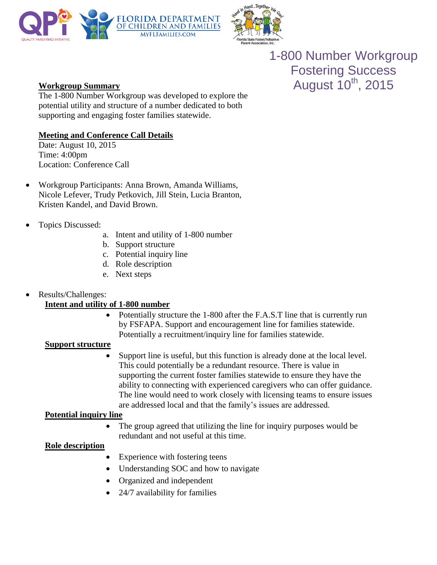



1-800 Number Workgroup Fostering Success **Workgroup Summary August 10<sup>th</sup>**, 2015

The 1-800 Number Workgroup was developed to explore the potential utility and structure of a number dedicated to both supporting and engaging foster families statewide.

## **Meeting and Conference Call Details**

Date: August 10, 2015 Time: 4:00pm Location: Conference Call

- Workgroup Participants: Anna Brown, Amanda Williams, Nicole Lefever, Trudy Petkovich, Jill Stein, Lucia Branton, Kristen Kandel, and David Brown.
- Topics Discussed:
	- a. Intent and utility of 1-800 number
	- b. Support structure
	- c. Potential inquiry line
	- d. Role description
	- e. Next steps

## Results/Challenges:

# **Intent and utility of 1-800 number**

 Potentially structure the 1-800 after the F.A.S.T line that is currently run by FSFAPA. Support and encouragement line for families statewide. Potentially a recruitment/inquiry line for families statewide.

## **Support structure**

 Support line is useful, but this function is already done at the local level. This could potentially be a redundant resource. There is value in supporting the current foster families statewide to ensure they have the ability to connecting with experienced caregivers who can offer guidance. The line would need to work closely with licensing teams to ensure issues are addressed local and that the family's issues are addressed.

## **Potential inquiry line**

• The group agreed that utilizing the line for inquiry purposes would be redundant and not useful at this time.

## **Role description**

- Experience with fostering teens
- Understanding SOC and how to navigate
- Organized and independent
- 24/7 availability for families